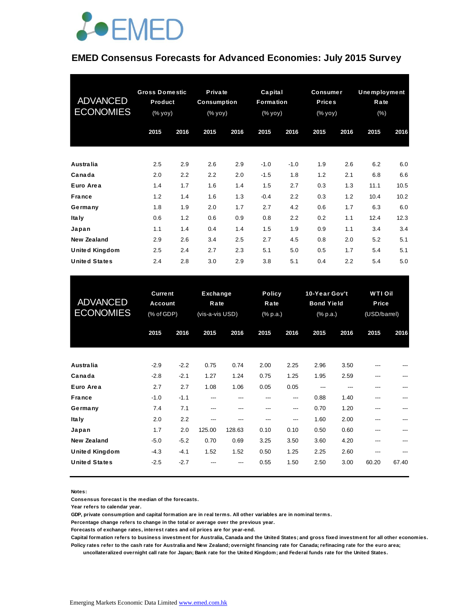

#### **EMED Consensus Forecasts for Advanced Economies: July 2015 Survey**

| <b>ADVANCED</b><br><b>ECONOMIES</b> | <b>Gross Domestic</b><br>Product<br>(% yoy) |      | Private<br><b>Consumption</b><br>(% yoy) |      | Capital<br><b>Formation</b><br>(% yoy) |        | <b>Consumer</b><br><b>Prices</b><br>(% yoy) |      | <b>Unemployment</b><br>Rate<br>(% ) |      |
|-------------------------------------|---------------------------------------------|------|------------------------------------------|------|----------------------------------------|--------|---------------------------------------------|------|-------------------------------------|------|
|                                     | 2015                                        | 2016 | 2015                                     | 2016 | 2015                                   | 2016   | 2015                                        | 2016 | 2015                                | 2016 |
| Australia                           | 2.5                                         | 2.9  | 2.6                                      | 2.9  | $-1.0$                                 | $-1.0$ | 1.9                                         | 2.6  | 6.2                                 | 6.0  |
| Canada                              | 2.0                                         | 2.2  | 2.2                                      | 2.0  | $-1.5$                                 | 1.8    | 1.2                                         | 2.1  | 6.8                                 | 6.6  |
| Euro Area                           | 1.4                                         | 1.7  | 1.6                                      | 1.4  | 1.5                                    | 2.7    | 0.3                                         | 1.3  | 11.1                                | 10.5 |
| <b>France</b>                       | 1.2                                         | 1.4  | 1.6                                      | 1.3  | $-0.4$                                 | 2.2    | 0.3                                         | 1.2  | 10.4                                | 10.2 |
| Germany                             | 1.8                                         | 1.9  | 2.0                                      | 1.7  | 2.7                                    | 4.2    | 0.6                                         | 1.7  | 6.3                                 | 6.0  |
| Ita Iy                              | 0.6                                         | 1.2  | 0.6                                      | 0.9  | 0.8                                    | 2.2    | 0.2                                         | 1.1  | 12.4                                | 12.3 |
| Japan                               | 1.1                                         | 1.4  | 0.4                                      | 1.4  | 1.5                                    | 1.9    | 0.9                                         | 1.1  | 3.4                                 | 3.4  |
| New Zealand                         | 2.9                                         | 2.6  | 3.4                                      | 2.5  | 2.7                                    | 4.5    | 0.8                                         | 2.0  | 5.2                                 | 5.1  |
| <b>United Kingdom</b>               | 2.5                                         | 2.4  | 2.7                                      | 2.3  | 5.1                                    | 5.0    | 0.5                                         | 1.7  | 5.4                                 | 5.1  |
| <b>United States</b>                | 2.4                                         | 2.8  | 3.0                                      | 2.9  | 3.8                                    | 5.1    | 0.4                                         | 2.2  | 5.4                                 | 5.0  |

| <b>United States</b>                | 2.4                                            | 2.8    | 3.0                                 | 2.9    | 3.8                        | 5.1   | 0.4                                            | 2.2  | 5.4                                     | 5.0   |
|-------------------------------------|------------------------------------------------|--------|-------------------------------------|--------|----------------------------|-------|------------------------------------------------|------|-----------------------------------------|-------|
| <b>ADVANCED</b><br><b>ECONOMIES</b> | <b>Current</b><br><b>Account</b><br>(% of GDP) |        | Exchange<br>Rate<br>(vis-a-vis USD) |        | Policy<br>Rate<br>(% p.a.) |       | 10-Year Gov't<br><b>Bond Yield</b><br>(% p.a.) |      | <b>WTI Oil</b><br>Price<br>(USD/barrel) |       |
|                                     | 2015                                           | 2016   | 2015                                | 2016   | 2015                       | 2016  | 2015                                           | 2016 | 2015                                    | 2016  |
| Australia                           | $-2.9$                                         | $-2.2$ | 0.75                                | 0.74   | 2.00                       | 2.25  | 2.96                                           | 3.50 |                                         |       |
| Canada                              | $-2.8$                                         | $-2.1$ | 1.27                                | 1.24   | 0.75                       | 1.25  | 1.95                                           | 2.59 | ---                                     |       |
| Euro Area                           | 2.7                                            | 2.7    | 1.08                                | 1.06   | 0.05                       | 0.05  | ---                                            | ---  | ---                                     |       |
| <b>France</b>                       | $-1.0$                                         | $-1.1$ | ---                                 | ---    | ---                        | ---   | 0.88                                           | 1.40 | ---                                     | ---   |
| Germany                             | 7.4                                            | 7.1    | ---                                 | ---    | ---                        | $---$ | 0.70                                           | 1.20 | ---                                     | ---   |
| Ita Iy                              | 2.0                                            | 2.2    | ---                                 | ---    | ---                        | $---$ | 1.60                                           | 2.00 | ---                                     | ---   |
| Japan                               | 1.7                                            | 2.0    | 125.00                              | 128.63 | 0.10                       | 0.10  | 0.50                                           | 0.60 | ---                                     | ---   |
| <b>New Zealand</b>                  | $-5.0$                                         | $-5.2$ | 0.70                                | 0.69   | 3.25                       | 3.50  | 3.60                                           | 4.20 | ---                                     |       |
| <b>United Kingdom</b>               | $-4.3$                                         | $-4.1$ | 1.52                                | 1.52   | 0.50                       | 1.25  | 2.25                                           | 2.60 | ---                                     |       |
| <b>United States</b>                | $-2.5$                                         | $-2.7$ |                                     | ---    | 0.55                       | 1.50  | 2.50                                           | 3.00 | 60.20                                   | 67.40 |

**Notes:** 

**Consensus forecast is the median of the forecasts.**

**Year refers to calendar year.**

**GDP, private consumption and capital formation are in real terms. All other variables are in nominal terms.**

**Percentage change refers to change in the total or average over the previous year.**

**Forecasts of exchange rates, interest rates and oil prices are for year-end.**

**Capital formation refers to business investment for Australia, Canada and the United States; and gross fixed investment for all other economies. Policy rates refer to the cash rate for Australia and New Zealand; overnight financing rate for Canada; refinacing rate for the euro area;** 

 **uncollateralized overnight call rate for Japan; Bank rate for the United Kingdom; and Federal funds rate for the United States.**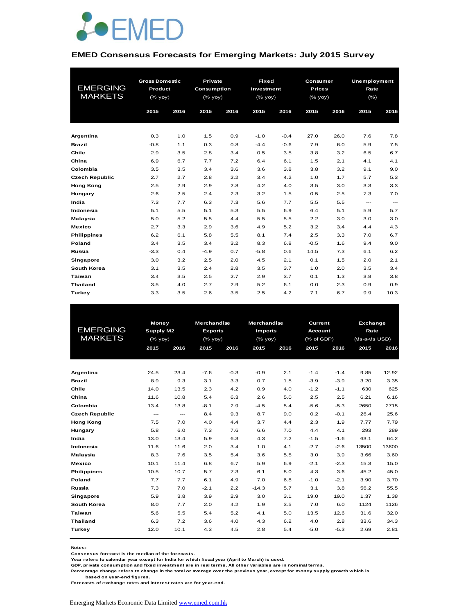

#### **EMED Consensus Forecasts for Emerging Markets: July 2015 Survey**

|                       | <b>Gross Domestic</b> |      | Private     |      | <b>Fixed</b> |        | Consumer      |      | <b>Unemployment</b> |          |
|-----------------------|-----------------------|------|-------------|------|--------------|--------|---------------|------|---------------------|----------|
| <b>EMERGING</b>       | Product               |      | Consumption |      | Investment   |        | <b>Prices</b> |      | Rate                |          |
| <b>MARKETS</b>        | $(%$ (% yoy)          |      | (% yoy)     |      | $(%$ (% yoy) |        | $(\%$ yoy)    |      | $(\% )$             |          |
|                       | 2015                  | 2016 | 2015        | 2016 | 2015         | 2016   | 2015          | 2016 | 2015                | 2016     |
|                       |                       |      |             |      |              |        |               |      |                     |          |
|                       |                       |      |             |      |              |        |               |      |                     |          |
| Argentina             | 0.3                   | 1.0  | 1.5         | 0.9  | $-1.0$       | $-0.4$ | 27.0          | 26.0 | 7.6                 | 7.8      |
| <b>Brazil</b>         | $-0.8$                | 1.1  | 0.3         | 0.8  | $-4.4$       | $-0.6$ | 7.9           | 6.0  | 5.9                 | 7.5      |
| Chile                 | 2.9                   | 3.5  | 2.8         | 3.4  | 0.5          | 3.5    | 3.8           | 3.2  | 6.5                 | 6.7      |
| China                 | 6.9                   | 6.7  | 7.7         | 7.2  | 6.4          | 6.1    | 1.5           | 2.1  | 4.1                 | 4.1      |
| Colombia              | 3.5                   | 3.5  | 3.4         | 3.6  | 3.6          | 3.8    | 3.8           | 3.2  | 9.1                 | 9.0      |
| <b>Czech Republic</b> | 2.7                   | 2.7  | 2.8         | 2.2  | 3.4          | 4.2    | 1.0           | 1.7  | 5.7                 | 5.3      |
| <b>Hong Kong</b>      | 2.5                   | 2.9  | 2.9         | 2.8  | 4.2          | 4.0    | 3.5           | 3.0  | 3.3                 | 3.3      |
| Hungary               | 2.6                   | 2.5  | 2.4         | 2.3  | 3.2          | 1.5    | 0.5           | 2.5  | 7.3                 | 7.0      |
| India                 | 7.3                   | 7.7  | 6.3         | 7.3  | 5.6          | 7.7    | 5.5           | 5.5  | $\qquad \qquad -$   | $\cdots$ |
| Indonesia             | 5.1                   | 5.5  | 5.1         | 5.3  | 5.5          | 6.9    | 6.4           | 5.1  | 5.9                 | 5.7      |
| Malaysia              | 5.0                   | 5.2  | 5.5         | 4.4  | 5.5          | 5.5    | 2.2           | 3.0  | 3.0                 | 3.0      |
| <b>Mexico</b>         | 2.7                   | 3.3  | 2.9         | 3.6  | 4.9          | 5.2    | 3.2           | 3.4  | 4.4                 | 4.3      |
| <b>Philippines</b>    | 6.2                   | 6.1  | 5.8         | 5.5  | 8.1          | 7.4    | 2.5           | 3.3  | 7.0                 | 6.7      |
| Poland                | 3.4                   | 3.5  | 3.4         | 3.2  | 8.3          | 6.8    | $-0.5$        | 1.6  | 9.4                 | 9.0      |
| Russia                | $-3.3$                | 0.4  | $-4.9$      | 0.7  | $-5.8$       | 0.6    | 14.5          | 7.3  | 6.1                 | 6.2      |
| Singapore             | 3.0                   | 3.2  | 2.5         | 2.0  | 4.5          | 2.1    | 0.1           | 1.5  | 2.0                 | 2.1      |
| South Korea           | 3.1                   | 3.5  | 2.4         | 2.8  | 3.5          | 3.7    | 1.0           | 2.0  | 3.5                 | 3.4      |
| <b>Taiwan</b>         | 3.4                   | 3.5  | 2.5         | 2.7  | 2.9          | 3.7    | 0.1           | 1.3  | 3.8                 | 3.8      |
| <b>Thailand</b>       | 3.5                   | 4.0  | 2.7         | 2.9  | 5.2          | 6.1    | 0.0           | 2.3  | 0.9                 | 0.9      |
| Turkey                | 3.3                   | 3.5  | 2.6         | 3.5  | 2.5          | 4.2    | 7.1           | 6.7  | 9.9                 | 10.3     |

|                       | Money        |      | <b>Merchandise</b> |        | <b>Merchandise</b> |      | Current        |        | Exchange        |       |
|-----------------------|--------------|------|--------------------|--------|--------------------|------|----------------|--------|-----------------|-------|
| <b>EMERGING</b>       | Supply M2    |      | <b>Exports</b>     |        | <b>Imports</b>     |      | <b>Account</b> |        | Rate            |       |
| <b>MARKETS</b>        | $(%$ (% yoy) |      | $(%$ (% yoy)       |        | $(\%$ yoy)         |      | (% of GDP)     |        | (vis-a-vis USD) |       |
|                       | 2015         | 2016 | 2015               | 2016   | 2015               | 2016 | 2015           | 2016   | 2015            | 2016  |
|                       |              |      |                    |        |                    |      |                |        |                 |       |
|                       |              |      |                    |        |                    |      |                |        |                 |       |
| Argentina             | 24.5         | 23.4 | $-7.6$             | $-0.3$ | $-0.9$             | 2.1  | $-1.4$         | $-1.4$ | 9.85            | 12.92 |
| <b>Brazil</b>         | 8.9          | 9.3  | 3.1                | 3.3    | 0.7                | 1.5  | $-3.9$         | $-3.9$ | 3.20            | 3.35  |
| Chile                 | 14.0         | 13.5 | 2.3                | 4.2    | 0.9                | 4.0  | $-1.2$         | $-1.1$ | 630             | 625   |
| China                 | 11.6         | 10.8 | 5.4                | 6.3    | 2.6                | 5.0  | 2.5            | 2.5    | 6.21            | 6.16  |
| Colombia              | 13.4         | 13.8 | $-8.1$             | 2.9    | $-4.5$             | 5.4  | $-5.6$         | $-5.3$ | 2650            | 2715  |
| <b>Czech Republic</b> | ---          | ---  | 8.4                | 9.3    | 8.7                | 9.0  | 0.2            | $-0.1$ | 26.4            | 25.6  |
| <b>Hong Kong</b>      | 7.5          | 7.0  | 4.0                | 4.4    | 3.7                | 4.4  | 2.3            | 1.9    | 7.77            | 7.79  |
| Hungary               | 5.8          | 6.0  | 7.3                | 7.6    | 6.6                | 7.0  | 4.4            | 4.1    | 293             | 289   |
| India                 | 13.0         | 13.4 | 5.9                | 6.3    | 4.3                | 7.2  | $-1.5$         | $-1.6$ | 63.1            | 64.2  |
| Indonesia             | 11.6         | 11.6 | 2.0                | 3.4    | 1.0                | 4.1  | $-2.7$         | $-2.6$ | 13500           | 13600 |
| Malaysia              | 8.3          | 7.6  | 3.5                | 5.4    | 3.6                | 5.5  | 3.0            | 3.9    | 3.66            | 3.60  |
| <b>Mexico</b>         | 10.1         | 11.4 | 6.8                | 6.7    | 5.9                | 6.9  | $-2.1$         | $-2.3$ | 15.3            | 15.0  |
| <b>Philippines</b>    | 10.5         | 10.7 | 5.7                | 7.3    | 6.1                | 8.0  | 4.3            | 3.6    | 45.2            | 45.0  |
| Poland                | 7.7          | 7.7  | 6.1                | 4.9    | 7.0                | 6.8  | $-1.0$         | $-2.1$ | 3.90            | 3.70  |
| Russia                | 7.3          | 7.0  | $-2.1$             | 2.2    | $-14.3$            | 5.7  | 3.1            | 3.8    | 56.2            | 55.5  |
| Singapore             | 5.9          | 3.8  | 3.9                | 2.9    | 3.0                | 3.1  | 19.0           | 19.0   | 1.37            | 1.38  |
| South Korea           | 8.0          | 7.7  | 2.0                | 4.2    | 1.9                | 3.5  | 7.0            | 6.0    | 1124            | 1126  |
| Taiwan                | 5.6          | 5.5  | 5.4                | 5.2    | 4.1                | 5.0  | 13.5           | 12.6   | 31.6            | 32.0  |
| <b>Thailand</b>       | 6.3          | 7.2  | 3.6                | 4.0    | 4.3                | 6.2  | 4.0            | 2.8    | 33.6            | 34.3  |
| Turkey                | 12.0         | 10.1 | 4.3                | 4.5    | 2.8                | 5.4  | $-5.0$         | $-5.3$ | 2.69            | 2.81  |
|                       |              |      |                    |        |                    |      |                |        |                 |       |

**Notes:** 

**Consensus forecast is the median of the forecasts.**

**Year refers to calendar year except for India for which fiscal year (April to March) is used.**

**GDP, private consumption and fixed investment are in real terms. All other variables are in nominal terms.**

**Percentage change refers to change in the total or average over the previous year, except for money supply growth which is** 

 **based on year-end figures.**

**Forecasts of exchange rates and interest rates are for year-end.**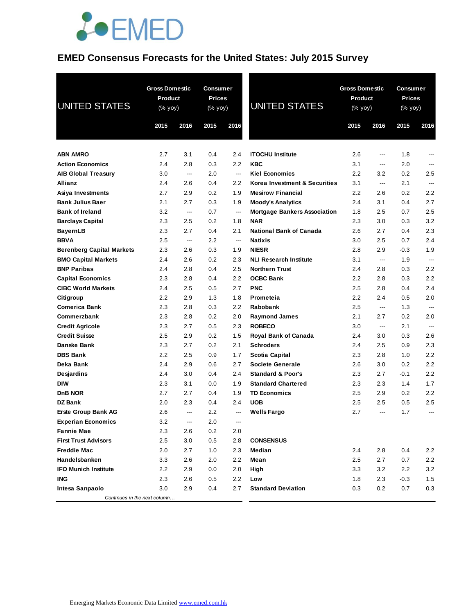

### **EMED Consensus Forecasts for the United States: July 2015 Survey**

| <b>UNITED STATES</b>             | <b>Gross Domestic</b><br>Product<br>(% yoy) |      | Consumer<br><b>Prices</b><br>(% yoy) |                          | <b>UNITED STATES</b>                | <b>Gross Domestic</b><br><b>Product</b><br>(% yoy) |      | <b>Consumer</b><br><b>Prices</b><br>(% yoy) |       |
|----------------------------------|---------------------------------------------|------|--------------------------------------|--------------------------|-------------------------------------|----------------------------------------------------|------|---------------------------------------------|-------|
|                                  | 2015                                        | 2016 | 2015                                 | 2016                     |                                     | 2015                                               | 2016 | 2015                                        | 2016  |
|                                  |                                             |      |                                      |                          |                                     |                                                    |      |                                             |       |
| <b>ABN AMRO</b>                  | 2.7                                         | 3.1  | 0.4                                  | 2.4                      | <b>ITOCHU Institute</b>             | 2.6                                                | ---  | 1.8                                         | $---$ |
| <b>Action Economics</b>          | 2.4                                         | 2.8  | 0.3                                  | 2.2                      | <b>KBC</b>                          | 3.1                                                | ---  | 2.0                                         | $---$ |
| <b>AIB Global Treasury</b>       | 3.0                                         | ---  | 2.0                                  | $\hspace{0.05cm} \ldots$ | <b>Kiel Economics</b>               | $2.2\,$                                            | 3.2  | 0.2                                         | 2.5   |
| <b>Allianz</b>                   | 2.4                                         | 2.6  | 0.4                                  | $2.2\,$                  | Korea Investment & Securities       | 3.1                                                | ---  | 2.1                                         | ---   |
| Asiya Investments                | 2.7                                         | 2.9  | 0.2                                  | 1.9                      | <b>Mesirow Financial</b>            | 2.2                                                | 2.6  | 0.2                                         | 2.2   |
| <b>Bank Julius Baer</b>          | 2.1                                         | 2.7  | 0.3                                  | 1.9                      | <b>Moody's Analytics</b>            | 2.4                                                | 3.1  | 0.4                                         | 2.7   |
| <b>Bank of Ireland</b>           | 3.2                                         | ---  | 0.7                                  | $\hspace{0.05cm} \ldots$ | <b>Mortgage Bankers Association</b> | 1.8                                                | 2.5  | 0.7                                         | 2.5   |
| <b>Barclays Capital</b>          | 2.3                                         | 2.5  | 0.2                                  | 1.8                      | <b>NAR</b>                          | 2.3                                                | 3.0  | 0.3                                         | 3.2   |
| <b>BayernLB</b>                  | 2.3                                         | 2.7  | 0.4                                  | 2.1                      | <b>National Bank of Canada</b>      | 2.6                                                | 2.7  | 0.4                                         | 2.3   |
| <b>BBVA</b>                      | 2.5                                         | ---  | 2.2                                  | ---                      | <b>Natixis</b>                      | 3.0                                                | 2.5  | 0.7                                         | 2.4   |
| <b>Berenberg Capital Markets</b> | 2.3                                         | 2.6  | 0.3                                  | 1.9                      | <b>NIESR</b>                        | 2.8                                                | 2.9  | $-0.3$                                      | 1.9   |
| <b>BMO Capital Markets</b>       | 2.4                                         | 2.6  | 0.2                                  | 2.3                      | <b>NLI Research Institute</b>       | 3.1                                                | ---  | 1.9                                         | $---$ |
| <b>BNP Paribas</b>               | 2.4                                         | 2.8  | 0.4                                  | 2.5                      | <b>Northern Trust</b>               | $2.4\,$                                            | 2.8  | 0.3                                         | 2.2   |
| <b>Capital Economics</b>         | 2.3                                         | 2.8  | 0.4                                  | 2.2                      | <b>OCBC Bank</b>                    | 2.2                                                | 2.8  | 0.3                                         | 2.2   |
| <b>CIBC World Markets</b>        | 2.4                                         | 2.5  | 0.5                                  | 2.7                      | <b>PNC</b>                          | 2.5                                                | 2.8  | 0.4                                         | 2.4   |
| Citigroup                        | 2.2                                         | 2.9  | 1.3                                  | 1.8                      | Prometeia                           | 2.2                                                | 2.4  | 0.5                                         | 2.0   |
| <b>Comerica Bank</b>             | 2.3                                         | 2.8  | 0.3                                  | 2.2                      | Rabobank                            | 2.5                                                | ---  | 1.3                                         | $---$ |
| Commerzbank                      | 2.3                                         | 2.8  | 0.2                                  | 2.0                      | <b>Raymond James</b>                | 2.1                                                | 2.7  | 0.2                                         | 2.0   |
| <b>Credit Agricole</b>           | 2.3                                         | 2.7  | 0.5                                  | 2.3                      | <b>ROBECO</b>                       | 3.0                                                | ---  | 2.1                                         | ---   |
| <b>Credit Suisse</b>             | 2.5                                         | 2.9  | 0.2                                  | 1.5                      | Royal Bank of Canada                | 2.4                                                | 3.0  | 0.3                                         | 2.6   |
| Danske Bank                      | 2.3                                         | 2.7  | 0.2                                  | 2.1                      | <b>Schroders</b>                    | 2.4                                                | 2.5  | 0.9                                         | 2.3   |
| <b>DBS Bank</b>                  | 2.2                                         | 2.5  | 0.9                                  | 1.7                      | Scotia Capital                      | 2.3                                                | 2.8  | 1.0                                         | 2.2   |
| Deka Bank                        | 2.4                                         | 2.9  | 0.6                                  | 2.7                      | <b>Societe Generale</b>             | 2.6                                                | 3.0  | 0.2                                         | 2.2   |
| Desjardins                       | 2.4                                         | 3.0  | 0.4                                  | 2.4                      | <b>Standard &amp; Poor's</b>        | 2.3                                                | 2.7  | -0.1                                        | 2.2   |
| <b>DIW</b>                       | 2.3                                         | 3.1  | 0.0                                  | 1.9                      | <b>Standard Chartered</b>           | 2.3                                                | 2.3  | 1.4                                         | 1.7   |
| <b>DnB NOR</b>                   | 2.7                                         | 2.7  | 0.4                                  | 1.9                      | <b>TD Economics</b>                 | 2.5                                                | 2.9  | 0.2                                         | 2.2   |
| <b>DZ Bank</b>                   | 2.0                                         | 2.3  | 0.4                                  | 2.4                      | <b>UOB</b>                          | 2.5                                                | 2.5  | 0.5                                         | 2.5   |
| Erste Group Bank AG              | 2.6                                         | ---  | 2.2                                  | ---                      | <b>Wells Fargo</b>                  | 2.7                                                | ---  | 1.7                                         | ---   |
| <b>Experian Economics</b>        | 3.2                                         |      | 2.0                                  |                          |                                     |                                                    |      |                                             |       |
| <b>Fannie Mae</b>                | 2.3                                         | 2.6  | 0.2                                  | 2.0                      |                                     |                                                    |      |                                             |       |
| <b>First Trust Advisors</b>      | 2.5                                         | 3.0  | 0.5                                  | 2.8                      | <b>CONSENSUS</b>                    |                                                    |      |                                             |       |
| <b>Freddie Mac</b>               | 2.0                                         | 2.7  | 1.0                                  | 2.3                      | Median                              | 2.4                                                | 2.8  | 0.4                                         | 2.2   |
| Handelsbanken                    | 3.3                                         | 2.6  | 2.0                                  | 2.2                      | Mean                                | 2.5                                                | 2.7  | 0.7                                         | 2.2   |
| <b>IFO Munich Institute</b>      | 2.2                                         | 2.9  | 0.0                                  | 2.0                      | High                                | 3.3                                                | 3.2  | 2.2                                         | 3.2   |
| <b>ING</b>                       | 2.3                                         | 2.6  | 0.5                                  | 2.2                      | Low                                 | 1.8                                                | 2.3  | $-0.3$                                      | 1.5   |
| Intesa Sanpaolo                  | 3.0                                         | 2.9  | 0.4                                  | 2.7                      | <b>Standard Deviation</b>           | 0.3                                                | 0.2  | 0.7                                         | 0.3   |
| Continues in the next column     |                                             |      |                                      |                          |                                     |                                                    |      |                                             |       |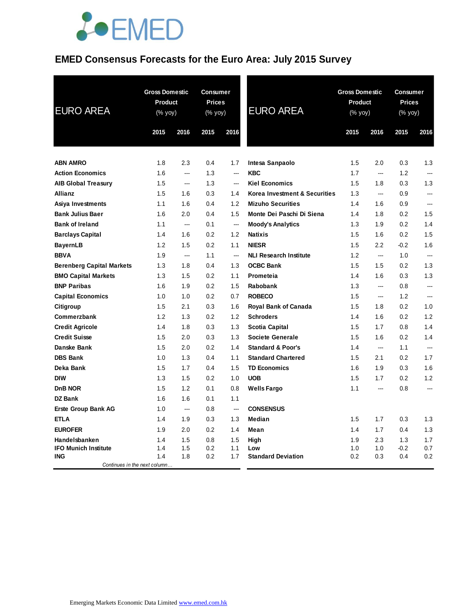# **JOEMED**

#### **EMED Consensus Forecasts for the Euro Area: July 2015 Survey**

| <b>EURO AREA</b>                 | <b>Gross Domestic</b><br><b>Product</b><br>(% yoy) |                          | Consumer<br><b>Prices</b><br>(% yoy) |                | <b>EURO AREA</b>              | <b>Gross Domestic</b><br>Product<br>(% yoy) |                |        | Consumer<br><b>Prices</b><br>(% yoy) |  |
|----------------------------------|----------------------------------------------------|--------------------------|--------------------------------------|----------------|-------------------------------|---------------------------------------------|----------------|--------|--------------------------------------|--|
|                                  | 2015                                               | 2016                     | 2015                                 | 2016           |                               | 2015                                        | 2016           | 2015   | 2016                                 |  |
|                                  |                                                    |                          |                                      |                |                               |                                             |                |        |                                      |  |
| <b>ABN AMRO</b>                  | 1.8                                                | 2.3                      | 0.4                                  | 1.7            | Intesa Sanpaolo               | 1.5                                         | 2.0            | 0.3    | 1.3                                  |  |
| <b>Action Economics</b>          | 1.6                                                | ---                      | 1.3                                  | ---            | <b>KBC</b>                    | 1.7                                         | $\overline{a}$ | 1.2    | $\overline{a}$                       |  |
| <b>AIB Global Treasury</b>       | 1.5                                                | <u></u>                  | 1.3                                  | $\overline{a}$ | <b>Kiel Economics</b>         | 1.5                                         | 1.8            | 0.3    | 1.3                                  |  |
| <b>Allianz</b>                   | 1.5                                                | 1.6                      | 0.3                                  | 1.4            | Korea Investment & Securities | 1.3                                         | ---            | 0.9    | ---                                  |  |
| Asiya Investments                | 1.1                                                | 1.6                      | 0.4                                  | 1.2            | <b>Mizuho Securities</b>      | 1.4                                         | 1.6            | 0.9    | $\overline{a}$                       |  |
| <b>Bank Julius Baer</b>          | 1.6                                                | 2.0                      | 0.4                                  | 1.5            | Monte Dei Paschi Di Siena     | 1.4                                         | 1.8            | 0.2    | 1.5                                  |  |
| <b>Bank of Ireland</b>           | 1.1                                                | $\overline{\phantom{a}}$ | 0.1                                  | $\sim$         | <b>Moody's Analytics</b>      | 1.3                                         | 1.9            | 0.2    | 1.4                                  |  |
| <b>Barclays Capital</b>          | 1.4                                                | 1.6                      | 0.2                                  | 1.2            | <b>Natixis</b>                | 1.5                                         | 1.6            | 0.2    | 1.5                                  |  |
| <b>BayernLB</b>                  | 1.2                                                | 1.5                      | 0.2                                  | 1.1            | <b>NIESR</b>                  | 1.5                                         | 2.2            | $-0.2$ | 1.6                                  |  |
| <b>BBVA</b>                      | 1.9                                                | ---                      | 1.1                                  | ---            | <b>NLI Research Institute</b> | 1.2                                         | ---            | 1.0    | ---                                  |  |
| <b>Berenberg Capital Markets</b> | 1.3                                                | 1.8                      | 0.4                                  | 1.3            | <b>OCBC Bank</b>              | 1.5                                         | 1.5            | 0.2    | 1.3                                  |  |
| <b>BMO Capital Markets</b>       | 1.3                                                | 1.5                      | 0.2                                  | 1.1            | Prometeia                     | 1.4                                         | 1.6            | 0.3    | 1.3                                  |  |
| <b>BNP Paribas</b>               | 1.6                                                | 1.9                      | 0.2                                  | 1.5            | <b>Rabobank</b>               | 1.3                                         | $\overline{a}$ | 0.8    | $\overline{a}$                       |  |
| <b>Capital Economics</b>         | 1.0                                                | 1.0                      | 0.2                                  | 0.7            | <b>ROBECO</b>                 | 1.5                                         | ---            | 1.2    |                                      |  |
| Citigroup                        | 1.5                                                | 2.1                      | 0.3                                  | 1.6            | Royal Bank of Canada          | 1.5                                         | 1.8            | 0.2    | 1.0                                  |  |
| Commerzbank                      | 1.2                                                | 1.3                      | 0.2                                  | 1.2            | <b>Schroders</b>              | 1.4                                         | 1.6            | 0.2    | 1.2                                  |  |
| <b>Credit Agricole</b>           | 1.4                                                | 1.8                      | 0.3                                  | 1.3            | <b>Scotia Capital</b>         | 1.5                                         | 1.7            | 0.8    | 1.4                                  |  |
| <b>Credit Suisse</b>             | 1.5                                                | 2.0                      | 0.3                                  | 1.3            | <b>Societe Generale</b>       | 1.5                                         | 1.6            | 0.2    | 1.4                                  |  |
| Danske Bank                      | 1.5                                                | 2.0                      | 0.2                                  | 1.4            | <b>Standard &amp; Poor's</b>  | 1.4                                         | ---            | 1.1    | $\overline{a}$                       |  |
| <b>DBS Bank</b>                  | 1.0                                                | 1.3                      | 0.4                                  | 1.1            | <b>Standard Chartered</b>     | 1.5                                         | 2.1            | 0.2    | 1.7                                  |  |
| Deka Bank                        | 1.5                                                | 1.7                      | 0.4                                  | 1.5            | <b>TD Economics</b>           | 1.6                                         | 1.9            | 0.3    | 1.6                                  |  |
| <b>DIW</b>                       | 1.3                                                | 1.5                      | 0.2                                  | 1.0            | <b>UOB</b>                    | 1.5                                         | 1.7            | 0.2    | 1.2                                  |  |
| <b>DnB NOR</b>                   | 1.5                                                | 1.2                      | 0.1                                  | 0.8            | <b>Wells Fargo</b>            | 1.1                                         | ---            | 0.8    | ---                                  |  |
| DZ Bank                          | 1.6                                                | 1.6                      | 0.1                                  | 1.1            |                               |                                             |                |        |                                      |  |
| Erste Group Bank AG              | 1.0                                                | ---                      | 0.8                                  | ---            | <b>CONSENSUS</b>              |                                             |                |        |                                      |  |
| <b>ETLA</b>                      | 1.4                                                | 1.9                      | 0.3                                  | 1.3            | Median                        | 1.5                                         | 1.7            | 0.3    | 1.3                                  |  |
| <b>EUROFER</b>                   | 1.9                                                | 2.0                      | 0.2                                  | 1.4            | Mean                          | 1.4                                         | 1.7            | 0.4    | 1.3                                  |  |
| Handelsbanken                    | 1.4                                                | 1.5                      | 0.8                                  | 1.5            | High                          | 1.9                                         | 2.3            | 1.3    | 1.7                                  |  |
| <b>IFO Munich Institute</b>      | 1.4                                                | 1.5                      | 0.2                                  | 1.1            | Low                           | 1.0                                         | 1.0            | $-0.2$ | 0.7                                  |  |
| <b>ING</b>                       | 1.4                                                | 1.8                      | 0.2                                  | 1.7            | <b>Standard Deviation</b>     | 0.2                                         | 0.3            | 0.4    | 0.2                                  |  |
| Continues in the next column     |                                                    |                          |                                      |                |                               |                                             |                |        |                                      |  |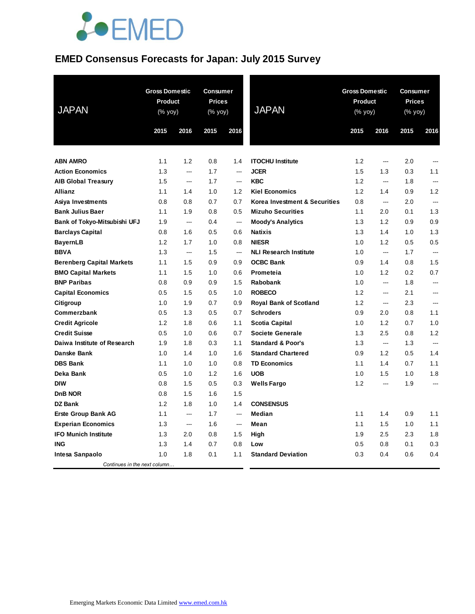## **JOEMED**

#### **EMED Consensus Forecasts for Japan: July 2015 Survey**

| <b>JAPAN</b>                     | <b>Gross Domestic</b><br>Product<br>(% yoy) |        | <b>Consumer</b><br><b>Prices</b><br>(% yoy) |                          | <b>JAPAN</b>                  | <b>Gross Domestic</b><br><b>Product</b><br>(% yoy) |        | <b>Consumer</b><br><b>Prices</b><br>(% yoy) |                          |
|----------------------------------|---------------------------------------------|--------|---------------------------------------------|--------------------------|-------------------------------|----------------------------------------------------|--------|---------------------------------------------|--------------------------|
|                                  | 2015                                        | 2016   | 2015                                        | 2016                     |                               | 2015                                               | 2016   | 2015                                        | 2016                     |
| <b>ABN AMRO</b>                  | 1.1                                         | 1.2    | 0.8                                         | 1.4                      | <b>ITOCHU Institute</b>       | 1.2                                                | ---    | 2.0                                         |                          |
| <b>Action Economics</b>          | 1.3                                         | ---    | 1.7                                         | ---                      | <b>JCER</b>                   | 1.5                                                | 1.3    | 0.3                                         | 1.1                      |
| <b>AIB Global Treasury</b>       | 1.5                                         | ---    | 1.7                                         | $\sim$                   | <b>KBC</b>                    | 1.2                                                | $\sim$ | 1.8                                         | <u>.</u>                 |
| <b>Allianz</b>                   | 1.1                                         | 1.4    | 1.0                                         | 1.2                      | <b>Kiel Economics</b>         | 1.2                                                | 1.4    | 0.9                                         | 1.2                      |
| Asiya Investments                | 0.8                                         | 0.8    | 0.7                                         | 0.7                      | Korea Investment & Securities | 0.8                                                | ---    | 2.0                                         | $\overline{\phantom{a}}$ |
| <b>Bank Julius Baer</b>          | 1.1                                         | 1.9    | 0.8                                         | 0.5                      | <b>Mizuho Securities</b>      | 1.1                                                | 2.0    | 0.1                                         | 1.3                      |
| Bank of Tokyo-Mitsubishi UFJ     | 1.9                                         | ---    | 0.4                                         | ---                      | <b>Moody's Analytics</b>      | 1.3                                                | 1.2    | 0.9                                         | 0.9                      |
| <b>Barclays Capital</b>          | 0.8                                         | 1.6    | 0.5                                         | 0.6                      | <b>Natixis</b>                | 1.3                                                | 1.4    | 1.0                                         | 1.3                      |
| <b>BayernLB</b>                  | 1.2                                         | 1.7    | 1.0                                         | 0.8                      | <b>NIESR</b>                  | 1.0                                                | 1.2    | 0.5                                         | 0.5                      |
| <b>BBVA</b>                      | 1.3                                         | ---    | 1.5                                         | $\overline{\phantom{a}}$ | <b>NLI Research Institute</b> | 1.0                                                | ---    | 1.7                                         | $\overline{a}$           |
| <b>Berenberg Capital Markets</b> | 1.1                                         | 1.5    | 0.9                                         | 0.9                      | <b>OCBC Bank</b>              | 0.9                                                | 1.4    | 0.8                                         | 1.5                      |
| <b>BMO Capital Markets</b>       | 1.1                                         | 1.5    | 1.0                                         | 0.6                      | Prometeia                     | 1.0                                                | 1.2    | 0.2                                         | 0.7                      |
| <b>BNP Paribas</b>               | 0.8                                         | 0.9    | 0.9                                         | 1.5                      | <b>Rabobank</b>               | 1.0                                                | ---    | 1.8                                         | $\sim$                   |
| <b>Capital Economics</b>         | 0.5                                         | 1.5    | 0.5                                         | 1.0                      | <b>ROBECO</b>                 | 1.2                                                | ---    | 2.1                                         | ---                      |
| Citigroup                        | 1.0                                         | 1.9    | 0.7                                         | 0.9                      | <b>Royal Bank of Scotland</b> | 1.2                                                | ---    | 2.3                                         | ---                      |
| Commerzbank                      | 0.5                                         | 1.3    | 0.5                                         | 0.7                      | <b>Schroders</b>              | 0.9                                                | 2.0    | 0.8                                         | 1.1                      |
| <b>Credit Agricole</b>           | 1.2                                         | 1.8    | 0.6                                         | 1.1                      | <b>Scotia Capital</b>         | 1.0                                                | 1.2    | 0.7                                         | 1.0                      |
| <b>Credit Suisse</b>             | 0.5                                         | 1.0    | 0.6                                         | 0.7                      | <b>Societe Generale</b>       | 1.3                                                | 2.5    | 0.8                                         | 1.2                      |
| Daiwa Institute of Research      | 1.9                                         | 1.8    | 0.3                                         | 1.1                      | <b>Standard &amp; Poor's</b>  | 1.3                                                | $\sim$ | 1.3                                         | ---                      |
| Danske Bank                      | 1.0                                         | 1.4    | 1.0                                         | 1.6                      | <b>Standard Chartered</b>     | 0.9                                                | 1.2    | 0.5                                         | 1.4                      |
| <b>DBS Bank</b>                  | 1.1                                         | 1.0    | 1.0                                         | 0.8                      | <b>TD Economics</b>           | 1.1                                                | 1.4    | 0.7                                         | 1.1                      |
| Deka Bank                        | 0.5                                         | 1.0    | 1.2                                         | 1.6                      | <b>UOB</b>                    | 1.0                                                | 1.5    | 1.0                                         | 1.8                      |
| <b>DIW</b>                       | 0.8                                         | 1.5    | 0.5                                         | 0.3                      | <b>Wells Fargo</b>            | 1.2                                                | ---    | 1.9                                         | ---                      |
| DnB NOR                          | 0.8                                         | 1.5    | 1.6                                         | 1.5                      |                               |                                                    |        |                                             |                          |
| <b>DZ Bank</b>                   | 1.2                                         | 1.8    | 1.0                                         | 1.4                      | <b>CONSENSUS</b>              |                                                    |        |                                             |                          |
| <b>Erste Group Bank AG</b>       | 1.1                                         | $\sim$ | 1.7                                         | $\sim$                   | Median                        | 1.1                                                | 1.4    | 0.9                                         | 1.1                      |
| <b>Experian Economics</b>        | 1.3                                         | ---    | 1.6                                         | ---                      | Mean                          | 1.1                                                | 1.5    | 1.0                                         | 1.1                      |
| <b>IFO Munich Institute</b>      | 1.3                                         | 2.0    | 0.8                                         | 1.5                      | High                          | 1.9                                                | 2.5    | 2.3                                         | 1.8                      |
| <b>ING</b>                       | 1.3                                         | 1.4    | 0.7                                         | 0.8                      | Low                           | 0.5                                                | 0.8    | 0.1                                         | 0.3                      |
| Intesa Sanpaolo                  | 1.0                                         | 1.8    | 0.1                                         | 1.1                      | <b>Standard Deviation</b>     | 0.3                                                | 0.4    | 0.6                                         | 0.4                      |
| Continues in the next column     |                                             |        |                                             |                          |                               |                                                    |        |                                             |                          |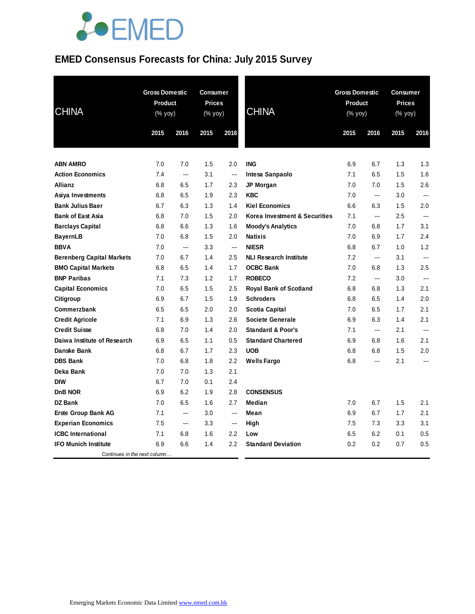## **JOEMED**

### **EMED Consensus Forecasts for China: July 2015 Survey**

| <b>CHINA</b>                     | <b>Gross Domestic</b><br>Product<br>(% yoy) |                | <b>Consumer</b><br><b>Prices</b><br>(% yoy) |                | <b>CHINA</b>                  | <b>Gross Domestic</b><br><b>Product</b><br>(% yoy) |      | Consumer<br><b>Prices</b><br>(% yoy) |                          |
|----------------------------------|---------------------------------------------|----------------|---------------------------------------------|----------------|-------------------------------|----------------------------------------------------|------|--------------------------------------|--------------------------|
|                                  | 2015                                        | 2016           | 2015                                        | 2016           |                               | 2015                                               | 2016 | 2015                                 | 2016                     |
|                                  |                                             |                |                                             |                |                               |                                                    |      |                                      |                          |
| <b>ABN AMRO</b>                  | 7.0                                         | 7.0            | 1.5                                         | 2.0            | <b>ING</b>                    | 6.9                                                | 6.7  | 1.3                                  | 1.3                      |
| <b>Action Economics</b>          | 7.4                                         | $\overline{a}$ | 3.1                                         | ---            | Intesa Sanpaolo               | 7.1                                                | 6.5  | 1.5                                  | 1.6                      |
| <b>Allianz</b>                   | 6.8                                         | 6.5            | 1.7                                         | 2.3            | JP Morgan                     | 7.0                                                | 7.0  | 1.5                                  | 2.6                      |
| Asiya Investments                | 6.8                                         | 6.5            | 1.9                                         | 2.3            | <b>KBC</b>                    | 7.0                                                | ---  | 3.0                                  | $\overline{\phantom{a}}$ |
| <b>Bank Julius Baer</b>          | 6.7                                         | 6.3            | 1.3                                         | 1.4            | <b>Kiel Economics</b>         | 6.6                                                | 6.3  | 1.5                                  | 2.0                      |
| <b>Bank of East Asia</b>         | 6.8                                         | 7.0            | 1.5                                         | 2.0            | Korea Investment & Securities | 7.1                                                | ---  | 2.5                                  | $\overline{\phantom{a}}$ |
| <b>Barclays Capital</b>          | 6.8                                         | 6.6            | 1.3                                         | 1.6            | <b>Moody's Analytics</b>      | 7.0                                                | 6.8  | 1.7                                  | 3.1                      |
| <b>BayernLB</b>                  | 7.0                                         | 6.8            | 1.5                                         | 2.0            | <b>Natixis</b>                | 7.0                                                | 6.9  | 1.7                                  | 2.4                      |
| <b>BBVA</b>                      | 7.0                                         | ---            | 3.3                                         | ---            | <b>NIESR</b>                  | 6.8                                                | 6.7  | 1.0                                  | 1.2                      |
| <b>Berenberg Capital Markets</b> | 7.0                                         | 6.7            | 1.4                                         | 2.5            | <b>NLI Research Institute</b> | 7.2                                                | ---  | 3.1                                  |                          |
| <b>BMO Capital Markets</b>       | 6.8                                         | 6.5            | 1.4                                         | 1.7            | <b>OCBC Bank</b>              | 7.0                                                | 6.8  | 1.3                                  | 2.5                      |
| <b>BNP Paribas</b>               | 7.1                                         | 7.3            | 1.2                                         | 1.7            | <b>ROBECO</b>                 | 7.2                                                | ---  | 3.0                                  | ---                      |
| <b>Capital Economics</b>         | 7.0                                         | 6.5            | 1.5                                         | 2.5            | <b>Royal Bank of Scotland</b> | 6.8                                                | 6.8  | 1.3                                  | 2.1                      |
| Citigroup                        | 6.9                                         | 6.7            | 1.5                                         | 1.9            | <b>Schroders</b>              | 6.8                                                | 6.5  | 1.4                                  | 2.0                      |
| Commerzbank                      | 6.5                                         | 6.5            | 2.0                                         | 2.0            | <b>Scotia Capital</b>         | 7.0                                                | 6.5  | 1.7                                  | 2.1                      |
| <b>Credit Agricole</b>           | 7.1                                         | 6.9            | 1.3                                         | 2.6            | <b>Societe Generale</b>       | 6.9                                                | 6.3  | 1.4                                  | 2.1                      |
| <b>Credit Suisse</b>             | 6.8                                         | 7.0            | 1.4                                         | 2.0            | <b>Standard &amp; Poor's</b>  | 7.1                                                | ---  | 2.1                                  | ---                      |
| Daiwa Institute of Research      | 6.9                                         | 6.5            | 1.1                                         | 0.5            | <b>Standard Chartered</b>     | 6.9                                                | 6.8  | 1.6                                  | 2.1                      |
| Danske Bank                      | 6.8                                         | 6.7            | 1.7                                         | 2.3            | <b>UOB</b>                    | 6.8                                                | 6.8  | 1.5                                  | 2.0                      |
| <b>DBS Bank</b>                  | 7.0                                         | 6.8            | 1.8                                         | 2.2            | <b>Wells Fargo</b>            | 6.8                                                | ---  | 2.1                                  | $\overline{a}$           |
| Deka Bank                        | 7.0                                         | 7.0            | 1.3                                         | 2.1            |                               |                                                    |      |                                      |                          |
| <b>DIW</b>                       | 6.7                                         | 7.0            | 0.1                                         | 2.4            |                               |                                                    |      |                                      |                          |
| <b>DnB NOR</b>                   | 6.9                                         | 6.2            | 1.9                                         | 2.8            | <b>CONSENSUS</b>              |                                                    |      |                                      |                          |
| <b>DZ Bank</b>                   | 7.0                                         | 6.5            | 1.6                                         | 2.7            | Median                        | 7.0                                                | 6.7  | 1.5                                  | 2.1                      |
| <b>Erste Group Bank AG</b>       | 7.1                                         | $\overline{a}$ | 3.0                                         | $\overline{a}$ | Mean                          | 6.9                                                | 6.7  | 1.7                                  | 2.1                      |
| <b>Experian Economics</b>        | 7.5                                         | ---            | 3.3                                         | ---            | High                          | 7.5                                                | 7.3  | 3.3                                  | 3.1                      |
| <b>ICBC</b> International        | 7.1                                         | 6.8            | 1.6                                         | 2.2            | Low                           | 6.5                                                | 6.2  | 0.1                                  | 0.5                      |
| <b>IFO Munich Institute</b>      | 6.9                                         | 6.6            | 1.4                                         | 2.2            | <b>Standard Deviation</b>     | 0.2                                                | 0.2  | 0.7                                  | 0.5                      |
| Continues in the next column     |                                             |                |                                             |                |                               |                                                    |      |                                      |                          |